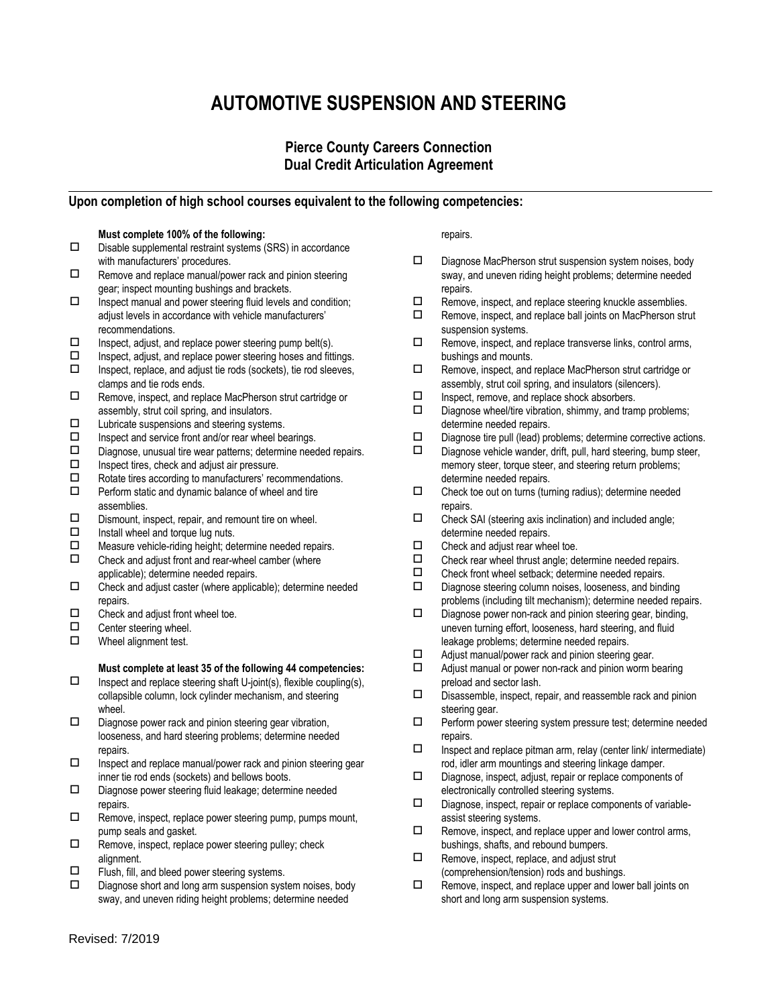# **AUTOMOTIVE SUSPENSION AND STEERING**

# **Pierce County Careers Connection Dual Credit Articulation Agreement**

## **Upon completion of high school courses equivalent to the following competencies:**

### **Must complete 100% of the following:**

- $\square$  Disable supplemental restraint systems (SRS) in accordance with manufacturers' procedures.
- $\Box$  Remove and replace manual/power rack and pinion steering gear; inspect mounting bushings and brackets.
- $\Box$  Inspect manual and power steering fluid levels and condition; adjust levels in accordance with vehicle manufacturers' recommendations.
- $\square$  Inspect, adjust, and replace power steering pump belt(s).
- $\Box$  Inspect, adjust, and replace power steering hoses and fittings.
- $\Box$  Inspect, replace, and adjust tie rods (sockets), tie rod sleeves, clamps and tie rods ends.
- □ Remove, inspect, and replace MacPherson strut cartridge or assembly, strut coil spring, and insulators.
- $\square$  Lubricate suspensions and steering systems.
- $\Box$  Inspect and service front and/or rear wheel bearings.<br> $\Box$  Diagnose unusual tire wear patterns: determine need
- $\square$  Diagnose, unusual tire wear patterns; determine needed repairs.<br> $\square$  Inspect tires, check and adjust air pressure
- $\square$  Inspect tires, check and adjust air pressure.<br> $\square$  Rotate tires according to manufacturers' reco
- $\square$  Rotate tires according to manufacturers' recommendations.<br> $\square$  Perform static and dynamic balance of wheel and tire
- Perform static and dynamic balance of wheel and tire assemblies.
- $\square$  Dismount, inspect, repair, and remount tire on wheel.<br> $\square$  Install wheel and torque luq nuts.
- Install wheel and torque lug nuts.
- $\Box$  Measure vehicle-riding height; determine needed repairs.<br> $\Box$  Check and adjust front and rear-wheel camber (where
- Check and adjust front and rear-wheel camber (where applicable); determine needed repairs.
- $\square$  Check and adjust caster (where applicable); determine needed repairs.
- $\Box$  Check and adjust front wheel toe.<br> $\Box$  Center steering wheel
- Center steering wheel.
- □ Wheel alignment test.

#### **Must complete at least 35 of the following 44 competencies:**

- $\square$  Inspect and replace steering shaft U-joint(s), flexible coupling(s), collapsible column, lock cylinder mechanism, and steering wheel.
- $\square$  Diagnose power rack and pinion steering gear vibration, looseness, and hard steering problems; determine needed repairs.
- $\square$  Inspect and replace manual/power rack and pinion steering gear inner tie rod ends (sockets) and bellows boots.
- Diagnose power steering fluid leakage; determine needed repairs.
- $\Box$  Remove, inspect, replace power steering pump, pumps mount, pump seals and gasket.
- $\Box$  Remove, inspect, replace power steering pulley; check alignment.
- $\Box$  Flush, fill, and bleed power steering systems.
- $\square$  Diagnose short and long arm suspension system noises, body sway, and uneven riding height problems; determine needed

repairs.

- $\square$  Diagnose MacPherson strut suspension system noises, body sway, and uneven riding height problems; determine needed repairs.
- $\Box$  Remove, inspect, and replace steering knuckle assemblies.
- $\Box$  Remove, inspect, and replace ball joints on MacPherson strut suspension systems.
- $\square$  Remove, inspect, and replace transverse links, control arms, bushings and mounts.
- Remove, inspect, and replace MacPherson strut cartridge or assembly, strut coil spring, and insulators (silencers).
- $\square$  Inspect, remove, and replace shock absorbers.<br> $\square$  Diagnose wheel/tire vibration shimmy and tran
- Diagnose wheel/tire vibration, shimmy, and tramp problems; determine needed repairs.
- $\square$  Diagnose tire pull (lead) problems; determine corrective actions.<br> $\square$  Diagnose vehicle wander, drift, pull, bard steering, bump steer
- Diagnose vehicle wander, drift, pull, hard steering, bump steer, memory steer, torque steer, and steering return problems; determine needed repairs.
- $\square$  Check toe out on turns (turning radius); determine needed repairs.
- $\square$  Check SAI (steering axis inclination) and included angle; determine needed repairs.
- $\square$  Check and adjust rear wheel toe.<br> $\square$  Check rear wheel thrust angle: de
- $\square$  Check rear wheel thrust angle; determine needed repairs.<br> $\square$  Check front wheel setback: determine needed repairs
- Check front wheel setback; determine needed repairs.
- $\square$  Diagnose steering column noises, looseness, and binding problems (including tilt mechanism); determine needed repairs.
- $\square$  Diagnose power non-rack and pinion steering gear, binding, uneven turning effort, looseness, hard steering, and fluid leakage problems; determine needed repairs.
- $\Box$  Adjust manual/power rack and pinion steering gear.
- $\Box$  Adjust manual or power non-rack and pinion worm bearing preload and sector lash.
- $\square$  Disassemble, inspect, repair, and reassemble rack and pinion steering gear.
- $\square$  Perform power steering system pressure test; determine needed repairs.
- $\square$  Inspect and replace pitman arm, relay (center link/ intermediate) rod, idler arm mountings and steering linkage damper.
- Diagnose, inspect, adjust, repair or replace components of electronically controlled steering systems.
- $\square$  Diagnose, inspect, repair or replace components of variableassist steering systems.
- $\Box$  Remove, inspect, and replace upper and lower control arms, bushings, shafts, and rebound bumpers.
- $\Box$  Remove, inspect, replace, and adjust strut (comprehension/tension) rods and bushings.
- $\Box$  Remove, inspect, and replace upper and lower ball joints on short and long arm suspension systems.